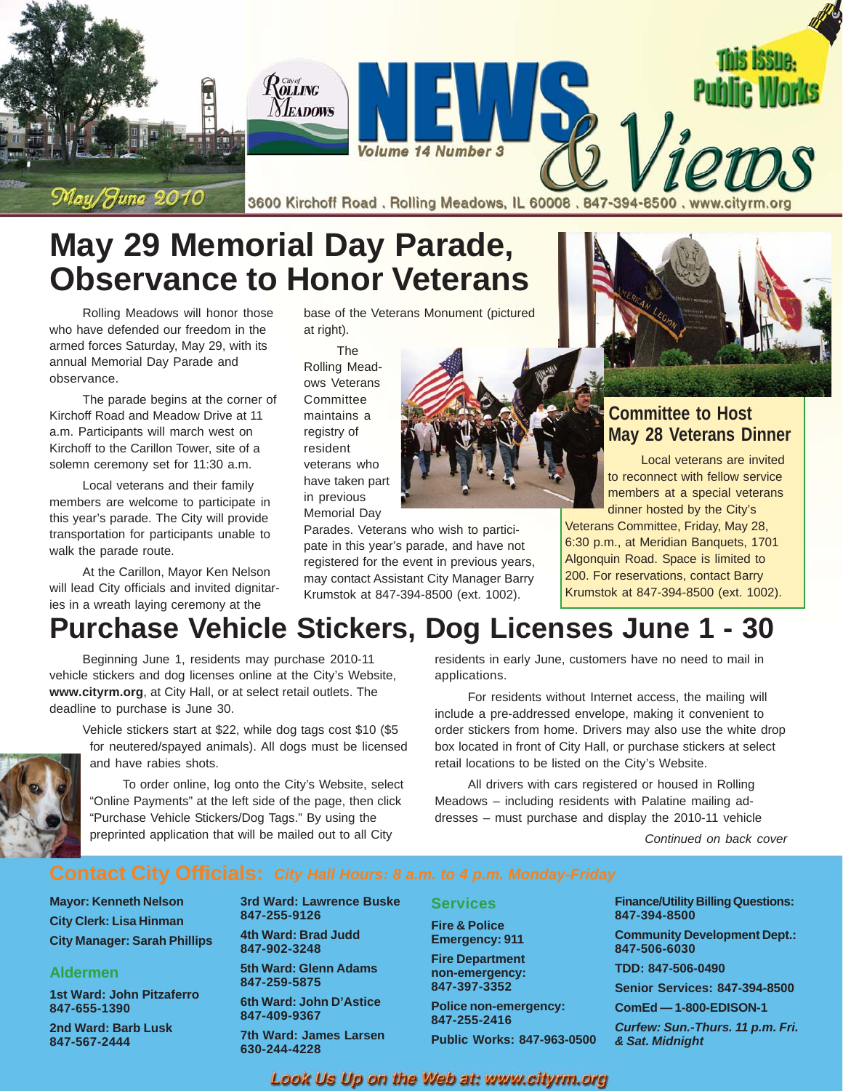

# **May 29 Memorial Day Parade, Observance to Honor Veterans**

Rolling Meadows will honor those who have defended our freedom in the armed forces Saturday, May 29, with its annual Memorial Day Parade and observance.

The parade begins at the corner of Kirchoff Road and Meadow Drive at 11 a.m. Participants will march west on Kirchoff to the Carillon Tower, site of a solemn ceremony set for 11:30 a.m.

Local veterans and their family members are welcome to participate in this year's parade. The City will provide transportation for participants unable to walk the parade route.

At the Carillon, Mayor Ken Nelson will lead City officials and invited dignitaries in a wreath laying ceremony at the

base of the Veterans Monument (pictured at right).

The Rolling Meadows Veterans **Committee** maintains a registry of resident veterans who have taken part in previous Memorial Day

Parades. Veterans who wish to participate in this year's parade, and have not registered for the event in previous years, may contact Assistant City Manager Barry Krumstok at 847-394-8500 (ext. 1002).

#### **Committee to Host May 28 Veterans Dinner**

Local veterans are invited to reconnect with fellow service members at a special veterans dinner hosted by the City's

Veterans Committee, Friday, May 28, 6:30 p.m., at Meridian Banquets, 1701 Algonquin Road. Space is limited to 200. For reservations, contact Barry Krumstok at 847-394-8500 (ext. 1002).

# **Purchase Vehicle Stickers, Dog Licenses June 1 - 30**

Beginning June 1, residents may purchase 2010-11 vehicle stickers and dog licenses online at the City's Website, **www.cityrm.org**, at City Hall, or at select retail outlets. The deadline to purchase is June 30.

Vehicle stickers start at \$22, while dog tags cost \$10 (\$5 for neutered/spayed animals). All dogs must be licensed and have rabies shots.

To order online, log onto the City's Website, select "Online Payments" at the left side of the page, then click "Purchase Vehicle Stickers/Dog Tags." By using the preprinted application that will be mailed out to all City

residents in early June, customers have no need to mail in applications.

For residents without Internet access, the mailing will include a pre-addressed envelope, making it convenient to order stickers from home. Drivers may also use the white drop box located in front of City Hall, or purchase stickers at select retail locations to be listed on the City's Website.

All drivers with cars registered or housed in Rolling Meadows – including residents with Palatine mailing addresses – must purchase and display the 2010-11 vehicle

*Continued on back cover*

**Mayor: Kenneth Nelson City Clerk: Lisa Hinman City Manager: Sarah Phillips**

#### **Aldermen**

**1st Ward: John Pitzaferro 847-655-1390**

**2nd Ward: Barb Lusk 847-567-2444**

**3rd Ward: Lawrence Buske 847-255-9126 4th Ward: Brad Judd**

**847-902-3248 5th Ward: Glenn Adams 847-259-5875 6th Ward: John D'Astice**

**847-409-9367**

**7th Ward: James Larsen 630-244-4228**

**Services Fire & Police Emergency: 911 Fire Department non-emergency: 847-397-3352 Police non-emergency: 847-255-2416 Public Works: 847-963-0500** **Finance/Utility Billing Questions: 847-394-8500 Community Development Dept.: 847-506-6030 TDD: 847-506-0490 Senior Services: 847-394-8500 ComEd — 1-800-EDISON-1**

*Curfew: Sun.-Thurs. 11 p.m. Fri. & Sat. Midnight*

Look Us Up on the Web at: www.cityrm.org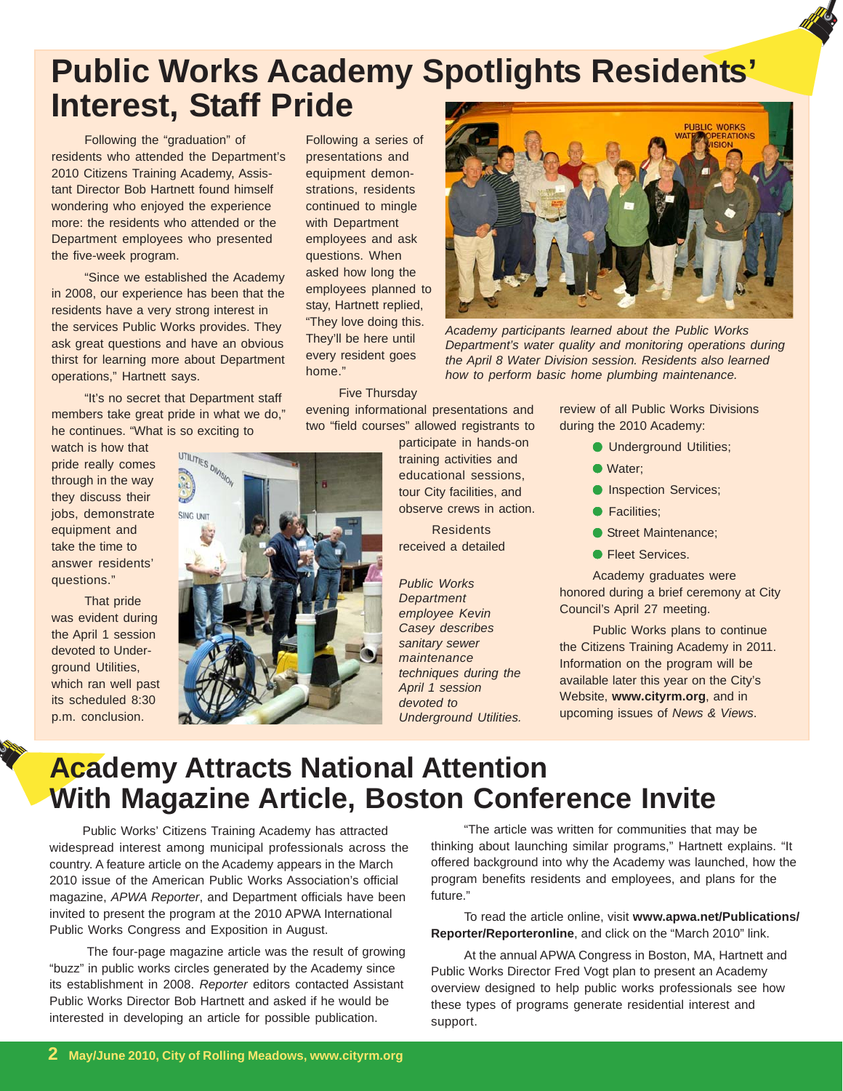# **Public Works Academy Spotlights Residents' Interest, Staff Pride**

Following the "graduation" of residents who attended the Department's 2010 Citizens Training Academy, Assistant Director Bob Hartnett found himself wondering who enjoyed the experience more: the residents who attended or the Department employees who presented the five-week program.

"Since we established the Academy in 2008, our experience has been that the residents have a very strong interest in the services Public Works provides. They ask great questions and have an obvious thirst for learning more about Department operations," Hartnett says.

"It's no secret that Department staff members take great pride in what we do," he continues. "What is so exciting to

watch is how that pride really comes through in the way they discuss their jobs, demonstrate equipment and take the time to answer residents' questions."

That pride was evident during the April 1 session devoted to Underground Utilities, which ran well past its scheduled 8:30 p.m. conclusion.

Following a series of presentations and equipment demonstrations, residents continued to mingle with Department employees and ask questions. When asked how long the employees planned to stay, Hartnett replied, "They love doing this. They'll be here until every resident goes home."



evening informational presentations and two "field courses" allowed registrants to

> participate in hands-on training activities and educational sessions, tour City facilities, and observe crews in action.

**Residents** received a detailed

*Public Works Department employee Kevin Casey describes sanitary sewer maintenance techniques during the April 1 session devoted to Underground Utilities.*

**PUBLIC WORKS** 

*Academy participants learned about the Public Works Department's water quality and monitoring operations during the April 8 Water Division session. Residents also learned how to perform basic home plumbing maintenance.*

review of all Public Works Divisions during the 2010 Academy:

- Underground Utilities;
- Water;
- **O** Inspection Services;
- Facilities:
- Street Maintenance:
- Fleet Services.

Academy graduates were honored during a brief ceremony at City Council's April 27 meeting.

Public Works plans to continue the Citizens Training Academy in 2011. Information on the program will be available later this year on the City's Website, **www.cityrm.org**, and in upcoming issues of *News & Views*.

## **Academy Attracts National Attention With Magazine Article, Boston Conference Invite**

Public Works' Citizens Training Academy has attracted widespread interest among municipal professionals across the country. A feature article on the Academy appears in the March 2010 issue of the American Public Works Association's official magazine, *APWA Reporter*, and Department officials have been invited to present the program at the 2010 APWA International Public Works Congress and Exposition in August.

 The four-page magazine article was the result of growing "buzz" in public works circles generated by the Academy since its establishment in 2008. *Reporter* editors contacted Assistant Public Works Director Bob Hartnett and asked if he would be interested in developing an article for possible publication.

"The article was written for communities that may be thinking about launching similar programs," Hartnett explains. "It offered background into why the Academy was launched, how the program benefits residents and employees, and plans for the future."

To read the article online, visit **www.apwa.net/Publications/ Reporter/Reporteronline**, and click on the "March 2010" link.

At the annual APWA Congress in Boston, MA, Hartnett and Public Works Director Fred Vogt plan to present an Academy overview designed to help public works professionals see how these types of programs generate residential interest and support.

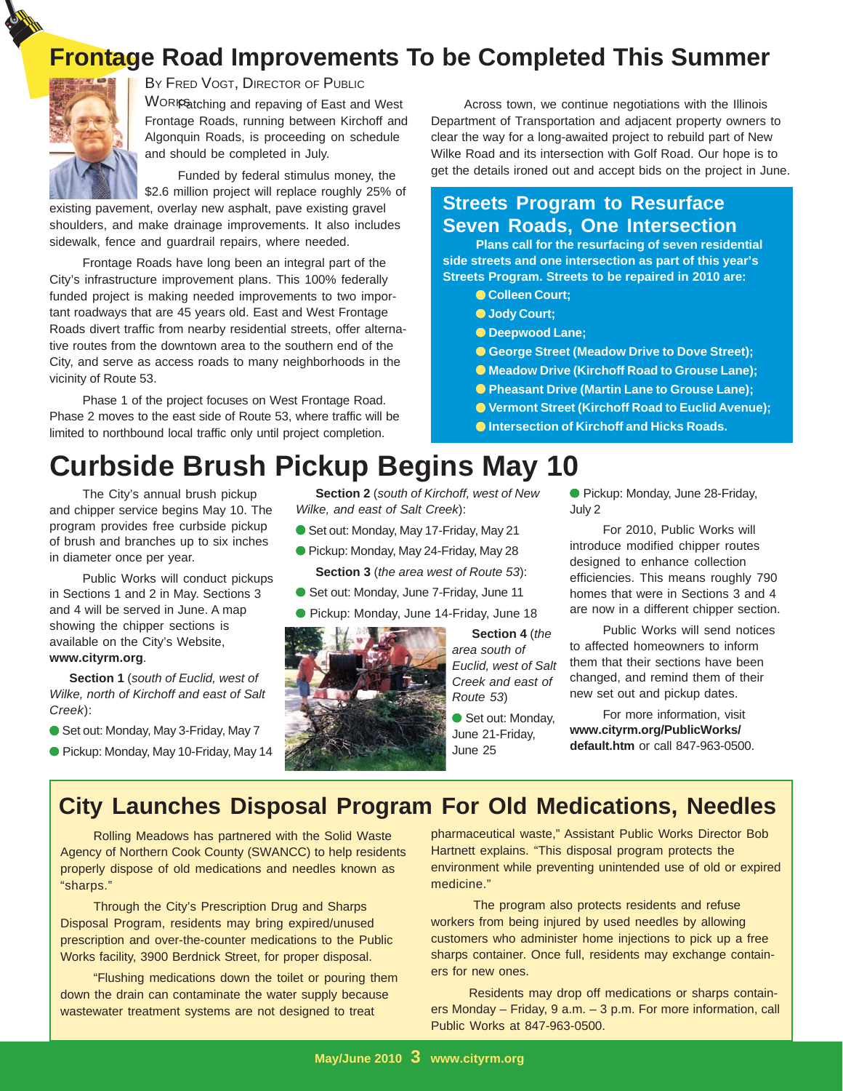### **Frontage Road Improvements To be Completed This Summer**



BY FRED VOGT, DIRECTOR OF PUBLIC

WORIR atching and repaving of East and West **Across town, we continue negotiations with the Illinois** Frontage Roads, running between Kirchoff and Algonquin Roads, is proceeding on schedule and should be completed in July.

Funded by federal stimulus money, the \$2.6 million project will replace roughly 25% of

existing pavement, overlay new asphalt, pave existing gravel shoulders, and make drainage improvements. It also includes sidewalk, fence and guardrail repairs, where needed.

Frontage Roads have long been an integral part of the City's infrastructure improvement plans. This 100% federally funded project is making needed improvements to two important roadways that are 45 years old. East and West Frontage Roads divert traffic from nearby residential streets, offer alternative routes from the downtown area to the southern end of the City, and serve as access roads to many neighborhoods in the vicinity of Route 53.

Phase 1 of the project focuses on West Frontage Road. Phase 2 moves to the east side of Route 53, where traffic will be limited to northbound local traffic only until project completion.

# **Curbside Brush Pickup Begins May 10**

The City's annual brush pickup and chipper service begins May 10. The program provides free curbside pickup of brush and branches up to six inches in diameter once per year.

Public Works will conduct pickups in Sections 1 and 2 in May. Sections 3 and 4 will be served in June. A map showing the chipper sections is available on the City's Website, **www.cityrm.org**.

**Section 1** (*south of Euclid, west of Wilke, north of Kirchoff and east of Salt Creek*):

- Set out: Monday, May 3-Friday, May 7
- Pickup: Monday, May 10-Friday, May 14

**Section 2** (*south of Kirchoff, west of New Wilke, and east of Salt Creek*):

- Set out: Monday, May 17-Friday, May 21
- Pickup: Monday, May 24-Friday, May 28 **Section 3** (*the area west of Route 53*):
- Set out: Monday, June 7-Friday, June 11
- Pickup: Monday, June 14-Friday, June 18



● Meadow Drive (Kirchoff Road to Grouse Lane); ● Pheasant Drive (Martin Lane to Grouse Lane); ● **Vermont Street (Kirchoff Road to Euclid Avenue);**

● **Intersection of Kirchoff and Hicks Roads.**

● George Street (Meadow Drive to Dove Street);

**Plans call for the resurfacing of seven residential side streets and one intersection as part of this year's Streets Program. Streets to be repaired in 2010 are:**

Department of Transportation and adjacent property owners to clear the way for a long-awaited project to rebuild part of New Wilke Road and its intersection with Golf Road. Our hope is to get the details ironed out and accept bids on the project in June.

**Streets Program to Resurface Seven Roads, One Intersection**

> ● **Colleen Court;** ● **Jody Court;** ● **Deepwood Lane;**

**Section 4** (*the*

● Pickup: Monday, June 28-Friday, July 2

For 2010, Public Works will introduce modified chipper routes designed to enhance collection efficiencies. This means roughly 790 homes that were in Sections 3 and 4 are now in a different chipper section.

Public Works will send notices to affected homeowners to inform them that their sections have been changed, and remind them of their new set out and pickup dates.

For more information, visit **www.cityrm.org/PublicWorks/ default.htm** or call 847-963-0500.

### **City Launches Disposal Program For Old Medications, Needles**

Rolling Meadows has partnered with the Solid Waste Agency of Northern Cook County (SWANCC) to help residents properly dispose of old medications and needles known as "sharps."

Through the City's Prescription Drug and Sharps Disposal Program, residents may bring expired/unused prescription and over-the-counter medications to the Public Works facility, 3900 Berdnick Street, for proper disposal.

"Flushing medications down the toilet or pouring them down the drain can contaminate the water supply because wastewater treatment systems are not designed to treat

pharmaceutical waste," Assistant Public Works Director Bob Hartnett explains. "This disposal program protects the environment while preventing unintended use of old or expired medicine."

 The program also protects residents and refuse workers from being injured by used needles by allowing customers who administer home injections to pick up a free sharps container. Once full, residents may exchange containers for new ones.

 Residents may drop off medications or sharps containers Monday – Friday, 9 a.m. – 3 p.m. For more information, call Public Works at 847-963-0500.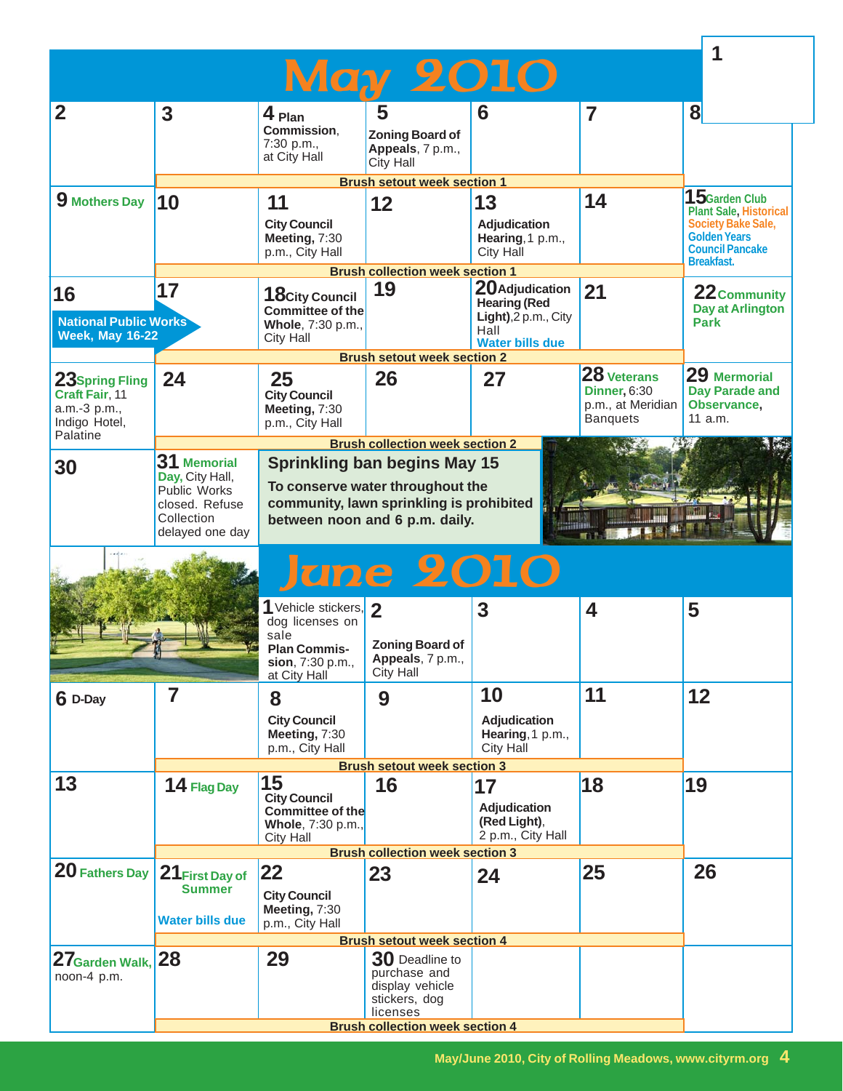| $\overline{2}$<br>9 Mothers Day                                               | $\overline{\mathbf{3}}$<br>10                                                      | $4$ Plan<br>Commission.<br>7:30 p.m.,<br>at City Hall<br>11<br><b>City Council</b>                                                                    | <b>May 2010</b><br>5<br><b>Zoning Board of</b><br>Appeals, 7 p.m.,<br><b>City Hall</b><br><b>Brush setout week section 1</b> | 6                                                                                                | $\overline{\mathbf{z}}$                                                    | $\bf{8}$                                                                                                                                       |
|-------------------------------------------------------------------------------|------------------------------------------------------------------------------------|-------------------------------------------------------------------------------------------------------------------------------------------------------|------------------------------------------------------------------------------------------------------------------------------|--------------------------------------------------------------------------------------------------|----------------------------------------------------------------------------|------------------------------------------------------------------------------------------------------------------------------------------------|
|                                                                               |                                                                                    |                                                                                                                                                       |                                                                                                                              |                                                                                                  |                                                                            |                                                                                                                                                |
|                                                                               |                                                                                    |                                                                                                                                                       |                                                                                                                              |                                                                                                  |                                                                            |                                                                                                                                                |
|                                                                               |                                                                                    | Meeting, 7:30<br>p.m., City Hall                                                                                                                      | 12                                                                                                                           | 13<br>Adjudication<br>Hearing, 1 p.m.,<br><b>City Hall</b>                                       | 14                                                                         | 15 $G$ arden Club<br><b>Plant Sale, Historical</b><br>Society Bake Sale,<br><b>Golden Years</b><br><b>Council Pancake</b><br><b>Breakfast.</b> |
|                                                                               |                                                                                    |                                                                                                                                                       | <b>Brush collection week section 1</b>                                                                                       |                                                                                                  |                                                                            |                                                                                                                                                |
| 16<br><b>National Public Works</b><br><b>Week, May 16-22</b>                  | 17                                                                                 | 18 City Council<br><b>Committee of the</b><br>Whole, 7:30 p.m.,<br><b>City Hall</b>                                                                   | 19                                                                                                                           | 20 Adjudication<br><b>Hearing (Red</b><br>Light), 2 p.m., City<br>Hall<br><b>Water bills due</b> | 21                                                                         | 22 Community<br><b>Day at Arlington</b><br><b>Park</b>                                                                                         |
|                                                                               |                                                                                    |                                                                                                                                                       | <b>Brush setout week section 2</b>                                                                                           |                                                                                                  |                                                                            |                                                                                                                                                |
| 23Spring Fling<br>Craft Fair, 11<br>a.m.-3 p.m.,<br>Indigo Hotel,<br>Palatine | 24                                                                                 | 25<br><b>City Council</b><br>Meeting, 7:30<br>p.m., City Hall                                                                                         | 26                                                                                                                           | 27                                                                                               | 28 Veterans<br><b>Dinner, 6:30</b><br>p.m., at Meridian<br><b>Banquets</b> | 29 Mermorial<br><b>Day Parade and</b><br>Observance,<br>11 a.m.                                                                                |
|                                                                               | 31 Memorial                                                                        |                                                                                                                                                       | <b>Brush collection week section 2</b>                                                                                       |                                                                                                  |                                                                            |                                                                                                                                                |
| 30                                                                            | Day, City Hall,<br>Public Works<br>closed. Refuse<br>Collection<br>delayed one day | <b>Sprinkling ban begins May 15</b><br>To conserve water throughout the<br>community, lawn sprinkling is prohibited<br>between noon and 6 p.m. daily. |                                                                                                                              |                                                                                                  |                                                                            |                                                                                                                                                |
|                                                                               |                                                                                    |                                                                                                                                                       | <b>June 2010</b>                                                                                                             |                                                                                                  |                                                                            |                                                                                                                                                |
|                                                                               |                                                                                    | Vehicle stickers,<br>dog licenses on<br>sale<br><b>Plan Commis-</b><br>sion, 7:30 p.m.,<br>at City Hall                                               | $\mathbf{2}$<br><b>Zoning Board of</b><br>Appeals, 7 p.m.,<br><b>City Hall</b>                                               | 3                                                                                                | 4                                                                          | 5                                                                                                                                              |
| 6 D-Day                                                                       | 7                                                                                  | 8                                                                                                                                                     | 9                                                                                                                            | 10                                                                                               | 11                                                                         | 12                                                                                                                                             |
|                                                                               |                                                                                    | <b>City Council</b><br>Meeting, 7:30<br>p.m., City Hall                                                                                               |                                                                                                                              | Adjudication<br>Hearing, 1 p.m.,<br><b>City Hall</b>                                             |                                                                            |                                                                                                                                                |
|                                                                               |                                                                                    |                                                                                                                                                       | <b>Brush setout week section 3</b>                                                                                           |                                                                                                  |                                                                            |                                                                                                                                                |
| 13                                                                            | 14 Flag Day                                                                        | 15<br><b>City Council</b><br><b>Committee of the</b><br>Whole, 7:30 p.m.,<br><b>City Hall</b>                                                         | 16                                                                                                                           | 17<br><b>Adjudication</b><br>(Red Light),<br>2 p.m., City Hall                                   | 18                                                                         | 19                                                                                                                                             |
|                                                                               |                                                                                    |                                                                                                                                                       | <b>Brush collection week section 3</b>                                                                                       |                                                                                                  |                                                                            |                                                                                                                                                |
| 20 Fathers Day                                                                | 21 First Day of<br><b>Summer</b><br><b>Water bills due</b>                         | 22<br><b>City Council</b><br>Meeting, 7:30<br>p.m., City Hall                                                                                         | 23                                                                                                                           | 24                                                                                               | 25                                                                         | 26                                                                                                                                             |
|                                                                               |                                                                                    |                                                                                                                                                       | <b>Brush setout week section 4</b>                                                                                           |                                                                                                  |                                                                            |                                                                                                                                                |
| 27 <sub>Garden</sub> Walk.<br>noon-4 p.m.                                     | 28                                                                                 | 29                                                                                                                                                    | 30 Deadline to<br>purchase and<br>display vehicle<br>stickers, dog<br>licenses<br><b>Brush collection week section 4</b>     |                                                                                                  |                                                                            |                                                                                                                                                |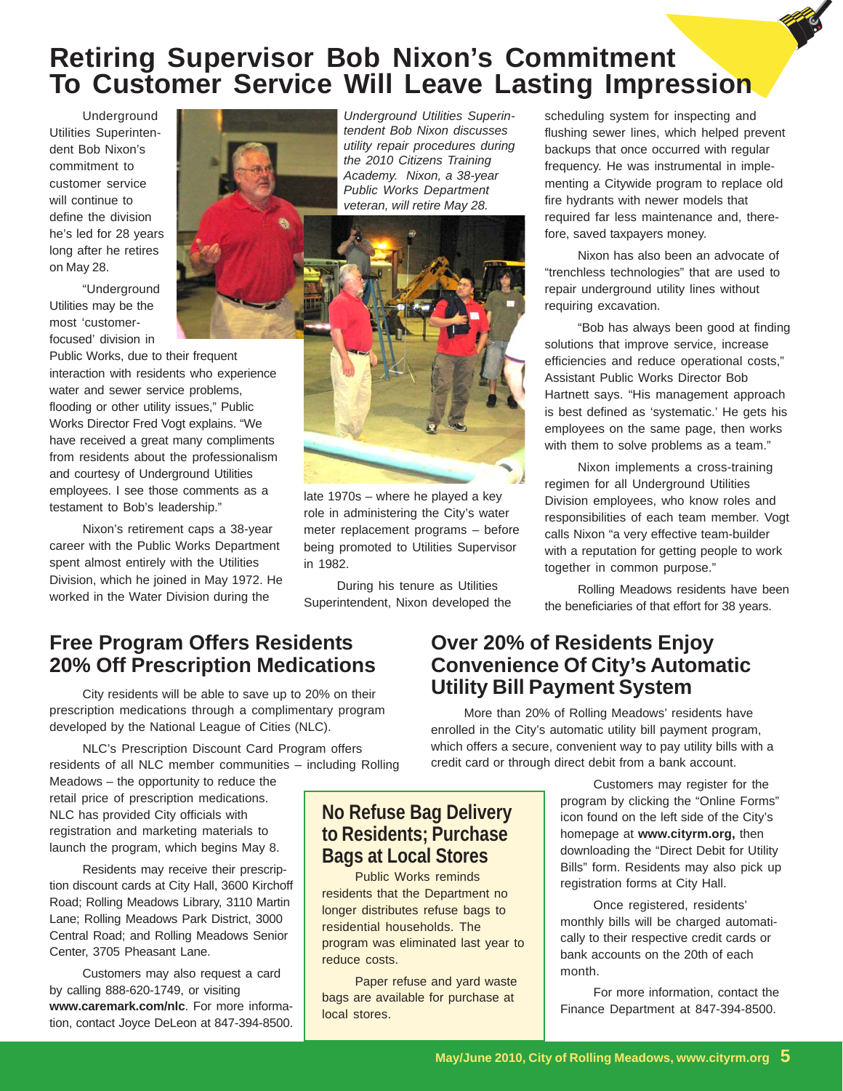## **Retiring Supervisor Bob Nixon's Commitment To Customer Service Will Leave Lasting Impression**

Underground Utilities Superintendent Bob Nixon's commitment to customer service will continue to define the division he's led for 28 years long after he retires on May 28.

"Underground Utilities may be the most 'customerfocused' division in

Public Works, due to their frequent interaction with residents who experience water and sewer service problems, flooding or other utility issues," Public Works Director Fred Vogt explains. "We have received a great many compliments from residents about the professionalism and courtesy of Underground Utilities employees. I see those comments as a testament to Bob's leadership."

Nixon's retirement caps a 38-year career with the Public Works Department spent almost entirely with the Utilities Division, which he joined in May 1972. He worked in the Water Division during the

*Underground Utilities Superintendent Bob Nixon discusses utility repair procedures during the 2010 Citizens Training Academy. Nixon, a 38-year Public Works Department veteran, will retire May 28.*



late 1970s – where he played a key role in administering the City's water meter replacement programs – before being promoted to Utilities Supervisor in 1982.

During his tenure as Utilities Superintendent, Nixon developed the scheduling system for inspecting and flushing sewer lines, which helped prevent backups that once occurred with regular frequency. He was instrumental in implementing a Citywide program to replace old fire hydrants with newer models that required far less maintenance and, therefore, saved taxpayers money.

Nixon has also been an advocate of "trenchless technologies" that are used to repair underground utility lines without requiring excavation.

"Bob has always been good at finding solutions that improve service, increase efficiencies and reduce operational costs," Assistant Public Works Director Bob Hartnett says. "His management approach is best defined as 'systematic.' He gets his employees on the same page, then works with them to solve problems as a team."

Nixon implements a cross-training regimen for all Underground Utilities Division employees, who know roles and responsibilities of each team member. Vogt calls Nixon "a very effective team-builder with a reputation for getting people to work together in common purpose."

Rolling Meadows residents have been the beneficiaries of that effort for 38 years.

#### **Free Program Offers Residents 20% Off Prescription Medications**

City residents will be able to save up to 20% on their prescription medications through a complimentary program developed by the National League of Cities (NLC).

NLC's Prescription Discount Card Program offers residents of all NLC member communities – including Rolling

Meadows – the opportunity to reduce the retail price of prescription medications. NLC has provided City officials with registration and marketing materials to launch the program, which begins May 8.

Residents may receive their prescription discount cards at City Hall, 3600 Kirchoff Road; Rolling Meadows Library, 3110 Martin Lane; Rolling Meadows Park District, 3000 Central Road; and Rolling Meadows Senior Center, 3705 Pheasant Lane.

Customers may also request a card by calling 888-620-1749, or visiting **www.caremark.com/nlc**. For more information, contact Joyce DeLeon at 847-394-8500.

#### **Over 20% of Residents Enjoy Convenience Of City's Automatic Utility Bill Payment System**

More than 20% of Rolling Meadows' residents have enrolled in the City's automatic utility bill payment program, which offers a secure, convenient way to pay utility bills with a credit card or through direct debit from a bank account.

> Customers may register for the program by clicking the "Online Forms" icon found on the left side of the City's homepage at **www.cityrm.org,** then downloading the "Direct Debit for Utility Bills" form. Residents may also pick up registration forms at City Hall.

Once registered, residents' monthly bills will be charged automatically to their respective credit cards or bank accounts on the 20th of each month.

For more information, contact the Finance Department at 847-394-8500.

#### **No Refuse Bag Delivery to Residents; Purchase Bags at Local Stores**

Public Works reminds residents that the Department no longer distributes refuse bags to residential households. The program was eliminated last year to reduce costs.

Paper refuse and yard waste bags are available for purchase at local stores.